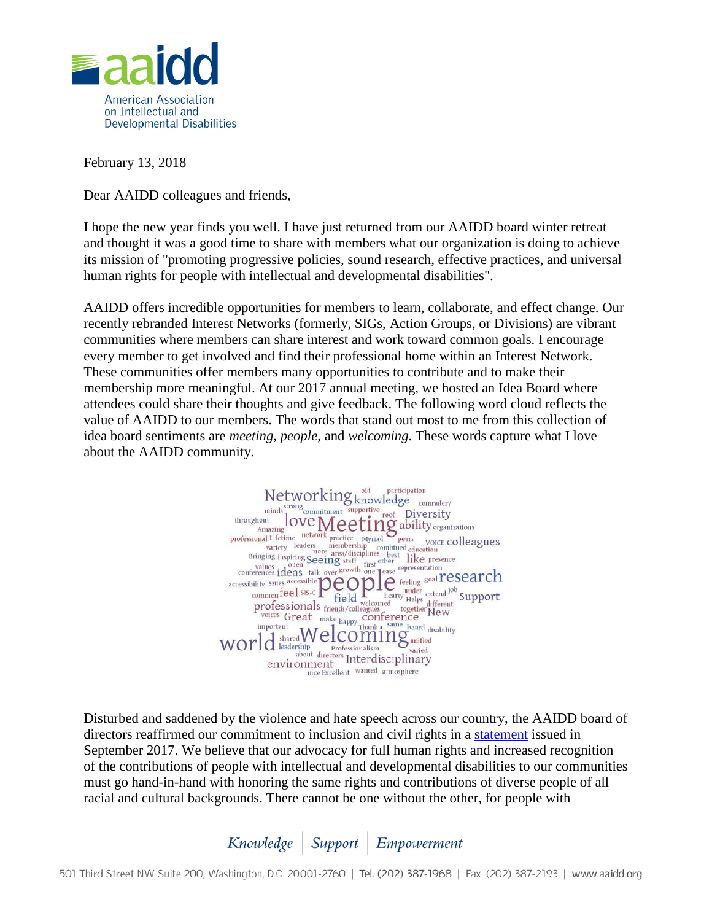

February 13, 2018

Dear AAIDD colleagues and friends,

I hope the new year finds you well. I have just returned from our AAIDD board winter retreat and thought it was a good time to share with members what our organization is doing to achieve its mission of "promoting progressive policies, sound research, effective practices, and universal human rights for people with intellectual and developmental disabilities".

AAIDD offers incredible opportunities for members to learn, collaborate, and effect change. Our recently rebranded Interest Networks (formerly, SIGs, Action Groups, or Divisions) are vibrant communities where members can share interest and work toward common goals. I encourage every member to get involved and find their professional home within an Interest Network. These communities offer members many opportunities to contribute and to make their membership more meaningful. At our 2017 annual meeting, we hosted an Idea Board where attendees could share their thoughts and give feedback. The following word cloud reflects the value of AAIDD to our members. The words that stand out most to me from this collection of idea board sentiments are *meeting*, *people*, and *welcoming*. These words capture what I love about the AAIDD community.



Disturbed and saddened by the violence and hate speech across our country, the AAIDD board of directors reaffirmed our commitment to inclusion and civil rights in a [statement](http://clicks.memberclicks-mail.net/wf/click?upn=y6lhilz9r3mRH23CWxcXjUJW2WUCO9c4ckI6oBVj545ab55d05l-2FSj0H-2BuMHPXHifw4wNxiGyg7wlcEa-2BX-2BTKCEOOcm6BfkV-2Bq78GGEOuKfgn6SabmPuMXy33Rh5rPZAKky9GzWdvgVgIId6ASpxqQ-3D-3D_ACyNsNzj1-2F7fVrgbDvjOuhuk0aCRKyD4LOAQiPA3d-2B-2BpytZBjHw6jIgyEUdIey7d7AzjdjVXwT6LCkOuqwzJzx1goMjTEvOwXl0PpAXv8phGnzi-2F-2BvqwpfQR2tLTBhLp6e9OFSKRTvi1cKm-2Fow2DSTt-2BLOYOLCp6meSQ-2B6M4TzIb6dJtylt92hWz-2BBWQqBMOm0to-2Bc20ChfV7g3DxumFOKQXU73SrYdM86aUSZprdezFeAVcjzsX-2BnTepTccPwMDL4M6Ml-2BGT0Bpe3Su8mSQZh-2B2XyjkwhoaouDvdVmMxNEEI35exkbJchwlyQCSK-2FrM085QUV2P922PsXLeigPrfg-3D-3D) issued in September 2017. We believe that our advocacy for full human rights and increased recognition of the contributions of people with intellectual and developmental disabilities to our communities must go hand-in-hand with honoring the same rights and contributions of diverse people of all racial and cultural backgrounds. There cannot be one without the other, for people with

Knowledge | Support | Empowerment